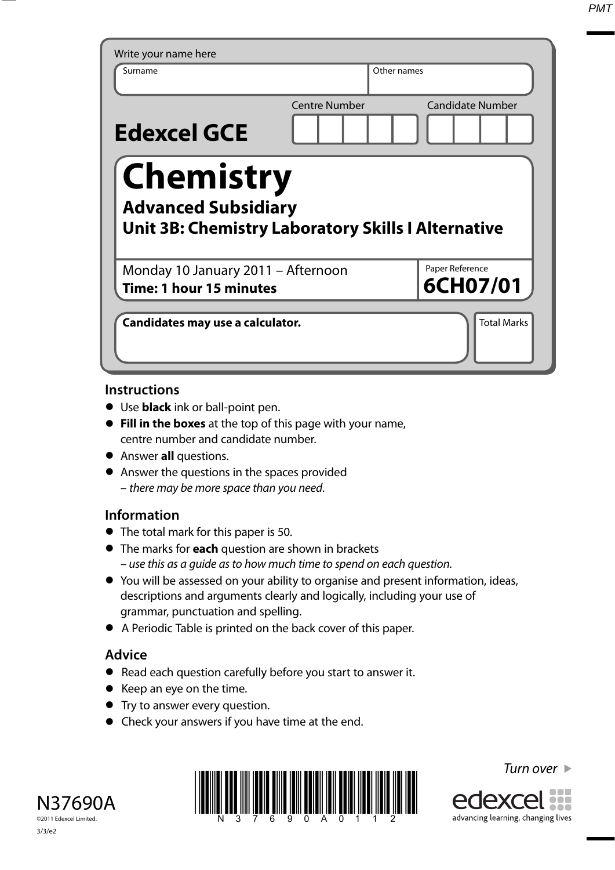*PMT*

| Surname                                                                                                     | Other names          |                             |
|-------------------------------------------------------------------------------------------------------------|----------------------|-----------------------------|
| <b>Edexcel GCE</b>                                                                                          | <b>Centre Number</b> | <b>Candidate Number</b>     |
| <b>Chemistry</b><br><b>Advanced Subsidiary</b><br><b>Unit 3B: Chemistry Laboratory Skills I Alternative</b> |                      |                             |
|                                                                                                             |                      |                             |
| Monday 10 January 2011 - Afternoon<br><b>Time: 1 hour 15 minutes</b>                                        |                      | Paper Reference<br>6CH07/01 |

### **Instructions**

- **•** Use **black** ink or ball-point pen.
- **• Fill in the boxes** at the top of this page with your name, centre number and candidate number.
- **•** Answer **all** questions.
- **•** Answer the questions in the spaces provided – there may be more space than you need.

# **Information**

- **•** The total mark for this paper is 50.
- **•** The marks for **each** question are shown in brackets – use this as a guide as to how much time to spend on each question.
- **•** You will be assessed on your ability to organise and present information, ideas, descriptions and arguments clearly and logically, including your use of grammar, punctuation and spelling.
- **•** A Periodic Table is printed on the back cover of this paper.

# **Advice**

- **•** Read each question carefully before you start to answer it.
- **•** Keep an eye on the time.
- **•** Try to answer every question.
- **•** Check your answers if you have time at the end.





Turn over  $\blacktriangleright$ 

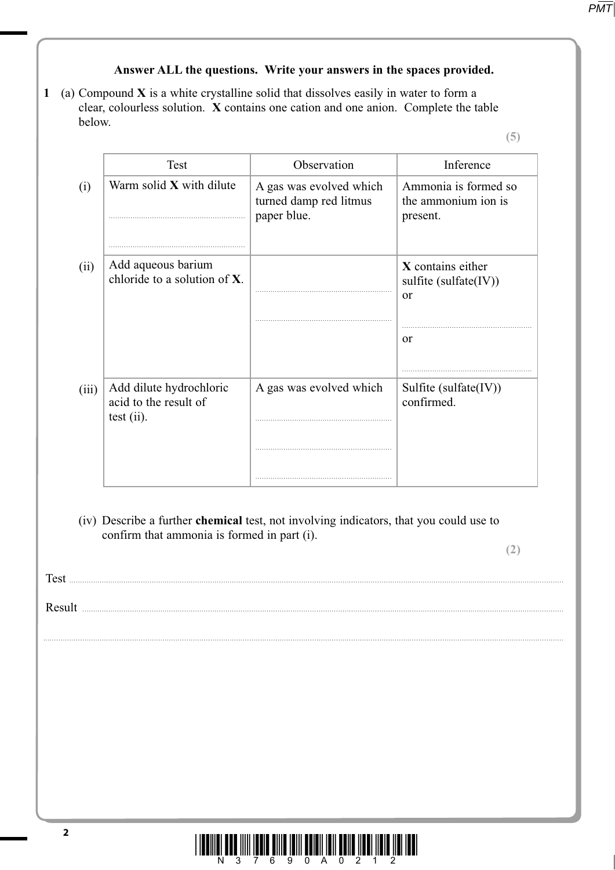# **Answer ALL the questions. Write your answers in the spaces provided.**

**1** (a) Compound **X** is a white crystalline solid that dissolves easily in water to form a clear, colourless solution. **X** contains one cation and one anion. Complete the table below.

**(5)**

| Warm solid X with dilute<br>A gas was evolved which<br>turned damp red litmus<br>the ammonium ion is<br>paper blue.<br>present.<br>Add aqueous barium<br>X contains either<br>(ii)<br>chloride to a solution of X.<br>sulfite (sulfate(IV))<br>or<br><sub>or</sub><br>Add dilute hydrochloric<br>A gas was evolved which<br>Sulfite (sulfate(IV))<br>(iii)<br>confirmed.<br>acid to the result of<br>test (ii).<br>confirm that ammonia is formed in part (i). | (i)<br>(iv) Describe a further chemical test, not involving indicators, that you could use to |        | <b>Test</b> | Observation | Inference            |
|----------------------------------------------------------------------------------------------------------------------------------------------------------------------------------------------------------------------------------------------------------------------------------------------------------------------------------------------------------------------------------------------------------------------------------------------------------------|-----------------------------------------------------------------------------------------------|--------|-------------|-------------|----------------------|
|                                                                                                                                                                                                                                                                                                                                                                                                                                                                |                                                                                               |        |             |             | Ammonia is formed so |
|                                                                                                                                                                                                                                                                                                                                                                                                                                                                |                                                                                               |        |             |             |                      |
|                                                                                                                                                                                                                                                                                                                                                                                                                                                                |                                                                                               |        |             |             |                      |
|                                                                                                                                                                                                                                                                                                                                                                                                                                                                |                                                                                               |        |             |             |                      |
|                                                                                                                                                                                                                                                                                                                                                                                                                                                                |                                                                                               |        |             |             |                      |
|                                                                                                                                                                                                                                                                                                                                                                                                                                                                |                                                                                               |        |             |             |                      |
|                                                                                                                                                                                                                                                                                                                                                                                                                                                                |                                                                                               |        |             |             |                      |
|                                                                                                                                                                                                                                                                                                                                                                                                                                                                |                                                                                               |        |             |             |                      |
|                                                                                                                                                                                                                                                                                                                                                                                                                                                                |                                                                                               |        |             |             | (2)                  |
|                                                                                                                                                                                                                                                                                                                                                                                                                                                                |                                                                                               |        |             |             |                      |
|                                                                                                                                                                                                                                                                                                                                                                                                                                                                |                                                                                               | Result |             |             |                      |
|                                                                                                                                                                                                                                                                                                                                                                                                                                                                |                                                                                               |        |             |             |                      |
|                                                                                                                                                                                                                                                                                                                                                                                                                                                                |                                                                                               |        |             |             |                      |
|                                                                                                                                                                                                                                                                                                                                                                                                                                                                |                                                                                               |        |             |             |                      |

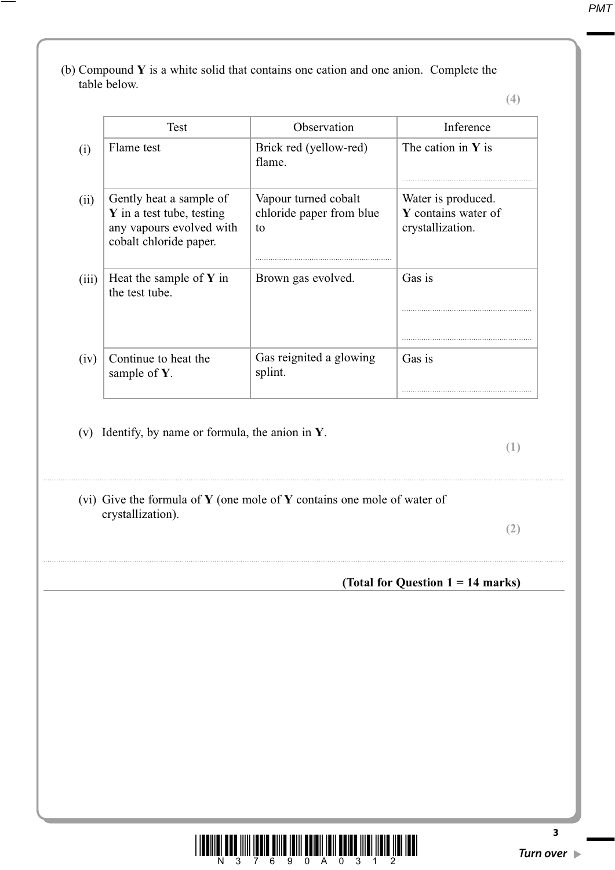(b) Compound **Y** is a white solid that contains one cation and one anion. Complete the table below.

**(4)**

|       | Test                                                                                                       | Observation                                            | Inference                                                     |
|-------|------------------------------------------------------------------------------------------------------------|--------------------------------------------------------|---------------------------------------------------------------|
| (i)   | Flame test                                                                                                 | Brick red (yellow-red)<br>flame.                       | The cation in $Y$ is                                          |
| (ii)  | Gently heat a sample of<br>Y in a test tube, testing<br>any vapours evolved with<br>cobalt chloride paper. | Vapour turned cobalt<br>chloride paper from blue<br>to | Water is produced.<br>Y contains water of<br>crystallization. |
| (iii) | Heat the sample of $Y$ in<br>the test tube.                                                                | Brown gas evolved.                                     | Gas is                                                        |
|       |                                                                                                            |                                                        |                                                               |
| (iv)  | Continue to heat the<br>sample of $Y$ .                                                                    | Gas reignited a glowing<br>splint.                     | Gas is                                                        |

- ................................................................................................................................................................................................................................................
	- (vi) Give the formula of **Y** (one mole of **Y** contains one mole of water of crystallization).

................................................................................................................................................................................................................................................

**(2)**

### **(Total for Question 1 = 14 marks)**

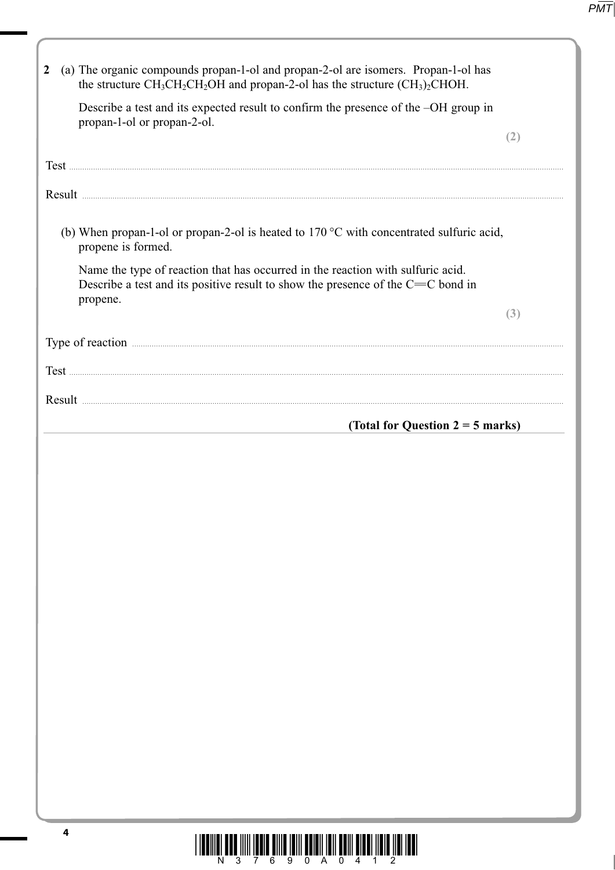| (a) The organic compounds propan-1-ol and propan-2-ol are isomers. Propan-1-ol has<br>$\overline{2}$<br>the structure $CH_3CH_2CH_2OH$ and propan-2-ol has the structure $(CH_3)_2CHOH$ . |     |
|-------------------------------------------------------------------------------------------------------------------------------------------------------------------------------------------|-----|
| Describe a test and its expected result to confirm the presence of the -OH group in<br>propan-1-ol or propan-2-ol.                                                                        | (2) |
|                                                                                                                                                                                           |     |
|                                                                                                                                                                                           |     |
| (b) When propan-1-ol or propan-2-ol is heated to $170\,^{\circ}\text{C}$ with concentrated sulfuric acid,<br>propene is formed.                                                           |     |
| Name the type of reaction that has occurred in the reaction with sulfuric acid.<br>Describe a test and its positive result to show the presence of the $C=C$ bond in<br>propene.          |     |
|                                                                                                                                                                                           | (3) |
| Type of reaction <b>contraction contraction <i>n</i></b>                                                                                                                                  |     |
|                                                                                                                                                                                           |     |
|                                                                                                                                                                                           |     |
| (Total for Question $2 = 5$ marks)                                                                                                                                                        |     |
|                                                                                                                                                                                           |     |
|                                                                                                                                                                                           |     |
|                                                                                                                                                                                           |     |
|                                                                                                                                                                                           |     |
|                                                                                                                                                                                           |     |
|                                                                                                                                                                                           |     |
| 4<br><u>lionii olo ilii loole olib lail aalali lail aali alal lisu lisu lah.</u>                                                                                                          |     |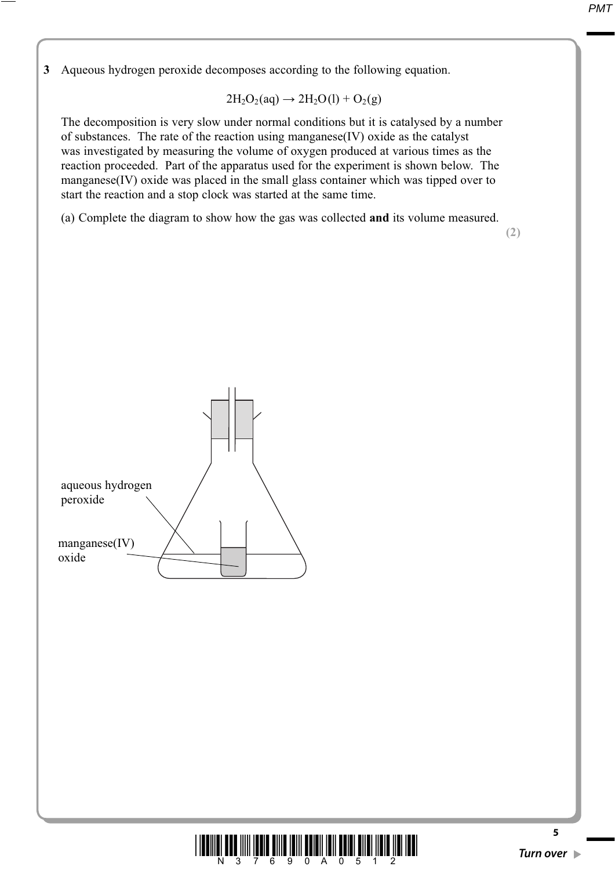**3** Aqueous hydrogen peroxide decomposes according to the following equation.

$$
2H_2O_2(aq)\rightarrow 2H_2O(l)+O_2(g)
$$

 The decomposition is very slow under normal conditions but it is catalysed by a number of substances. The rate of the reaction using manganese(IV) oxide as the catalyst was investigated by measuring the volume of oxygen produced at various times as the reaction proceeded. Part of the apparatus used for the experiment is shown below. The manganese(IV) oxide was placed in the small glass container which was tipped over to start the reaction and a stop clock was started at the same time.

(a) Complete the diagram to show how the gas was collected **and** its volume measured.

**(2)**



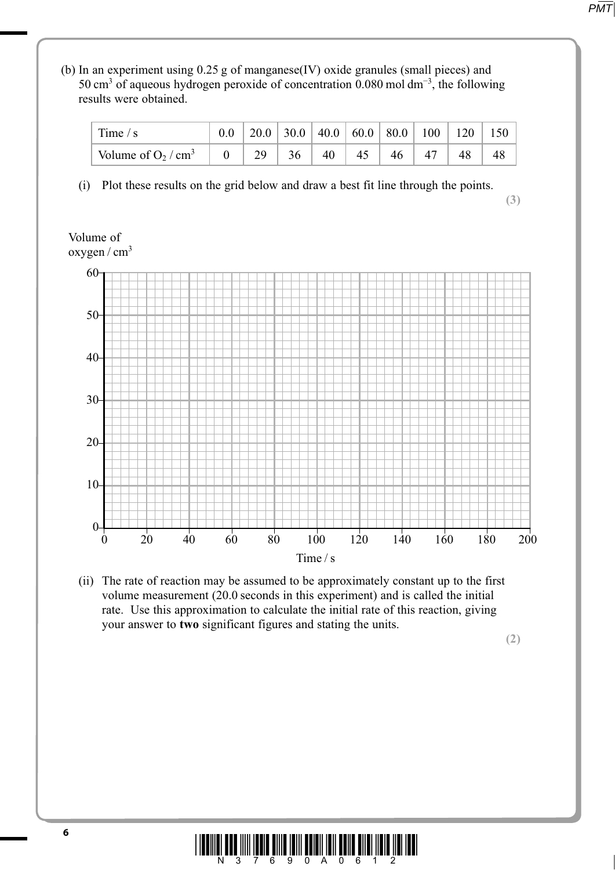*PMT*

 (b) In an experiment using 0.25 g of manganese(IV) oxide granules (small pieces) and 50 cm<sup>3</sup> of aqueous hydrogen peroxide of concentration 0.080 mol dm<sup>-3</sup>, the following results were obtained.

| Time $/s$                         |                |          |    |    |                 |    |  |
|-----------------------------------|----------------|----------|----|----|-----------------|----|--|
| Volume of $O_2$ / cm <sup>3</sup> | $\overline{0}$ | 29 36 40 | 45 | 46 | 47 <sub>1</sub> | 48 |  |

(i) Plot these results on the grid below and draw a best fit line through the points.

**(3)**

### Volume of oxygen / cm3



 (ii) The rate of reaction may be assumed to be approximately constant up to the first volume measurement (20.0 seconds in this experiment) and is called the initial rate. Use this approximation to calculate the initial rate of this reaction, giving your answer to **two** significant figures and stating the units.

**(2)**

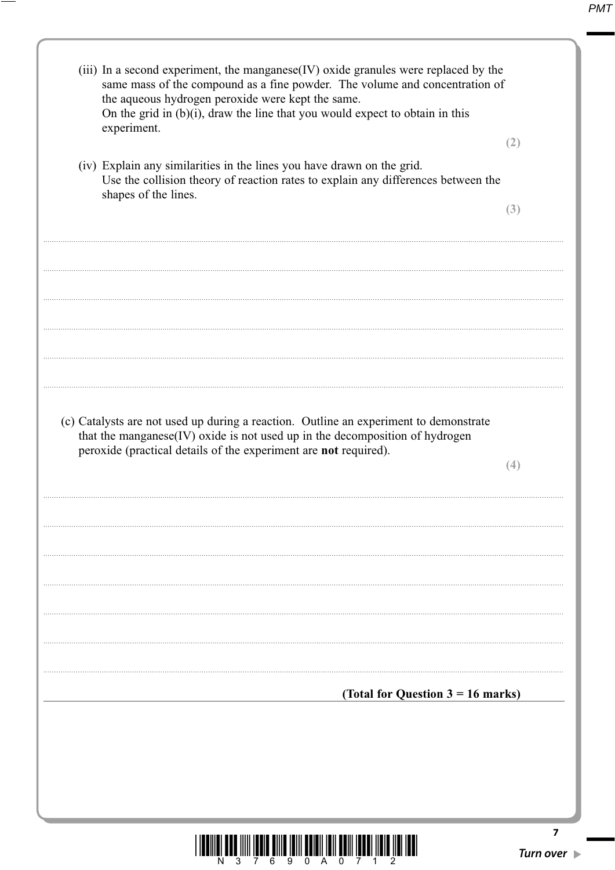| (iii) In a second experiment, the manganese(IV) oxide granules were replaced by the<br>same mass of the compound as a fine powder. The volume and concentration of<br>the aqueous hydrogen peroxide were kept the same.<br>On the grid in (b)(i), draw the line that you would expect to obtain in this<br>experiment. |                |
|------------------------------------------------------------------------------------------------------------------------------------------------------------------------------------------------------------------------------------------------------------------------------------------------------------------------|----------------|
|                                                                                                                                                                                                                                                                                                                        | (2)            |
| (iv) Explain any similarities in the lines you have drawn on the grid.<br>Use the collision theory of reaction rates to explain any differences between the<br>shapes of the lines.                                                                                                                                    |                |
|                                                                                                                                                                                                                                                                                                                        | (3)            |
|                                                                                                                                                                                                                                                                                                                        |                |
|                                                                                                                                                                                                                                                                                                                        |                |
|                                                                                                                                                                                                                                                                                                                        |                |
|                                                                                                                                                                                                                                                                                                                        |                |
| (c) Catalysts are not used up during a reaction. Outline an experiment to demonstrate<br>that the manganese(IV) oxide is not used up in the decomposition of hydrogen<br>peroxide (practical details of the experiment are not required).                                                                              |                |
|                                                                                                                                                                                                                                                                                                                        | (4)            |
|                                                                                                                                                                                                                                                                                                                        |                |
|                                                                                                                                                                                                                                                                                                                        |                |
|                                                                                                                                                                                                                                                                                                                        |                |
|                                                                                                                                                                                                                                                                                                                        |                |
| (Total for Question $3 = 16$ marks)                                                                                                                                                                                                                                                                                    |                |
|                                                                                                                                                                                                                                                                                                                        |                |
|                                                                                                                                                                                                                                                                                                                        |                |
|                                                                                                                                                                                                                                                                                                                        |                |
|                                                                                                                                                                                                                                                                                                                        | 7<br>Turn over |

—

 $\Box$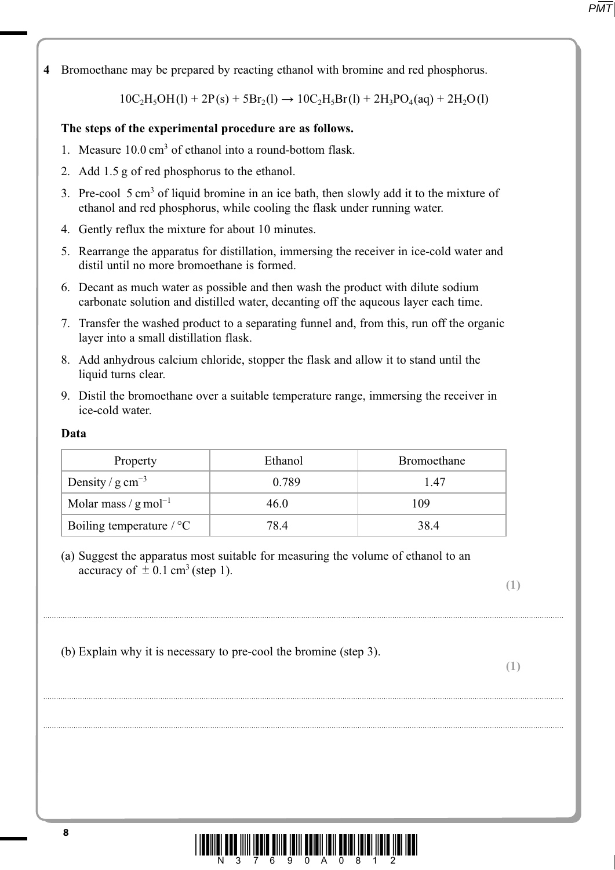**4** Bromoethane may be prepared by reacting ethanol with bromine and red phosphorus.

 $10C_2H_5OH(1) + 2P(s) + 5Br_2(1) \rightarrow 10C_2H_5Br(1) + 2H_3PO_4(aq) + 2H_2O(1)$ 

## **The steps of the experimental procedure are as follows.**

- 1. Measure 10.0 cm<sup>3</sup> of ethanol into a round-bottom flask.
	- 2. Add 1.5 g of red phosphorus to the ethanol.
- 3. Pre-cool 5 cm<sup>3</sup> of liquid bromine in an ice bath, then slowly add it to the mixture of ethanol and red phosphorus, while cooling the flask under running water.
	- 4. Gently reflux the mixture for about 10 minutes.
	- 5. Rearrange the apparatus for distillation, immersing the receiver in ice-cold water and distil until no more bromoethane is formed.
	- 6. Decant as much water as possible and then wash the product with dilute sodium carbonate solution and distilled water, decanting off the aqueous layer each time.
	- 7. Transfer the washed product to a separating funnel and, from this, run off the organic layer into a small distillation flask.
	- 8. Add anhydrous calcium chloride, stopper the flask and allow it to stand until the liquid turns clear.
	- 9. Distil the bromoethane over a suitable temperature range, immersing the receiver in ice-cold water.

### **Data**

| Property                           | Ethanol | Bromoethane |
|------------------------------------|---------|-------------|
| Density / $g \text{ cm}^{-3}$      | 0.789   | 147         |
| Molar mass / $g$ mol <sup>-1</sup> | 46.0    | 109         |
| Boiling temperature $\sqrt{\ }$ °C | 78.4    | 38.4        |

................................................................................................................................................................................................................................................

................................................................................................................................................................................................................................................

................................................................................................................................................................................................................................................

 (a) Suggest the apparatus most suitable for measuring the volume of ethanol to an accuracy of  $\pm$  0.1 cm<sup>3</sup> (step 1).

**(1)**

```
 (b) Explain why it is necessary to pre-cool the bromine (step 3).
```
**(1)**

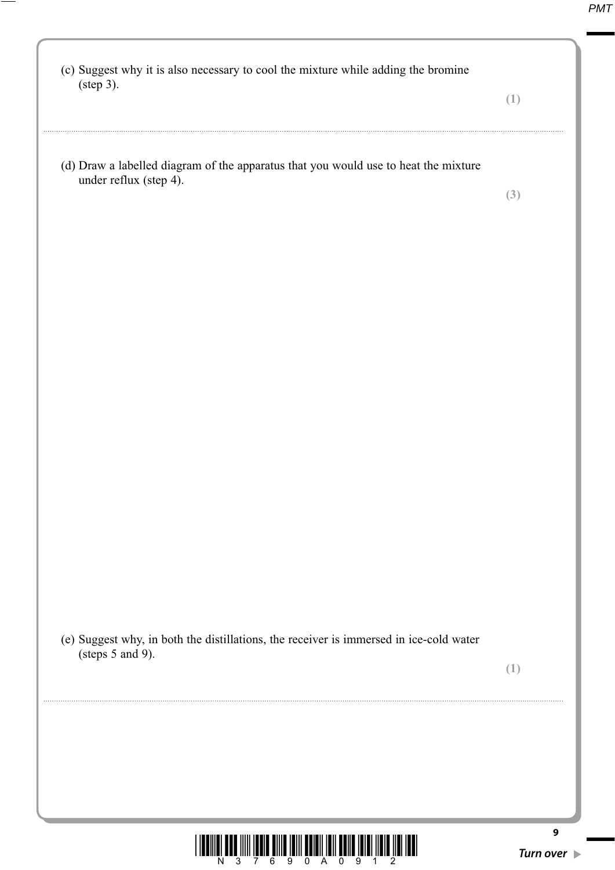| (c) Suggest why it is also necessary to cool the mixture while adding the bromine<br>$(\text{step } 3).$   |                       |
|------------------------------------------------------------------------------------------------------------|-----------------------|
|                                                                                                            | (1)                   |
| (d) Draw a labelled diagram of the apparatus that you would use to heat the mixture                        |                       |
| under reflux (step 4).                                                                                     | (3)                   |
|                                                                                                            |                       |
|                                                                                                            |                       |
|                                                                                                            |                       |
|                                                                                                            |                       |
|                                                                                                            |                       |
|                                                                                                            |                       |
|                                                                                                            |                       |
|                                                                                                            |                       |
|                                                                                                            |                       |
|                                                                                                            |                       |
|                                                                                                            |                       |
|                                                                                                            |                       |
|                                                                                                            |                       |
| (e) Suggest why, in both the distillations, the receiver is immersed in ice-cold water<br>(steps 5 and 9). |                       |
|                                                                                                            | (1)                   |
|                                                                                                            |                       |
|                                                                                                            |                       |
|                                                                                                            |                       |
|                                                                                                            |                       |
|                                                                                                            | 9<br><b>Turn over</b> |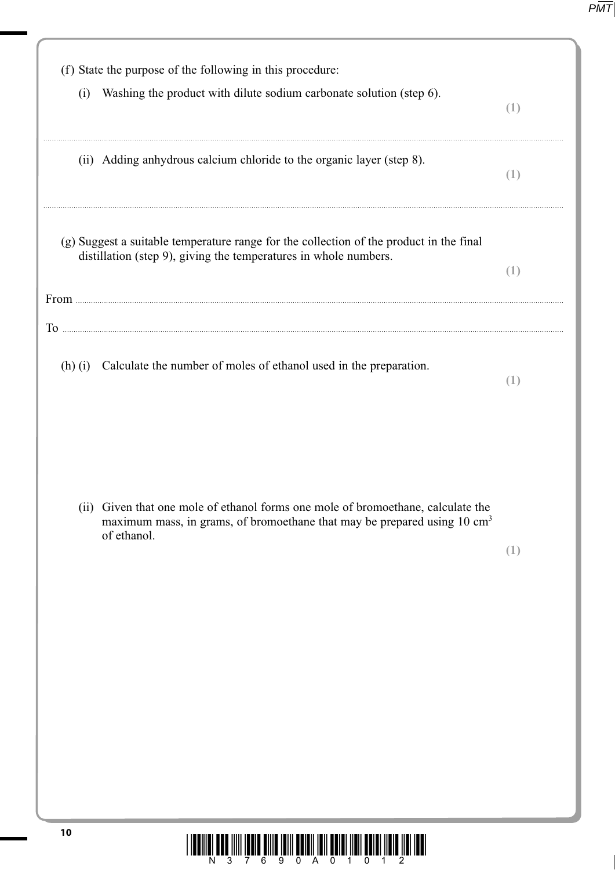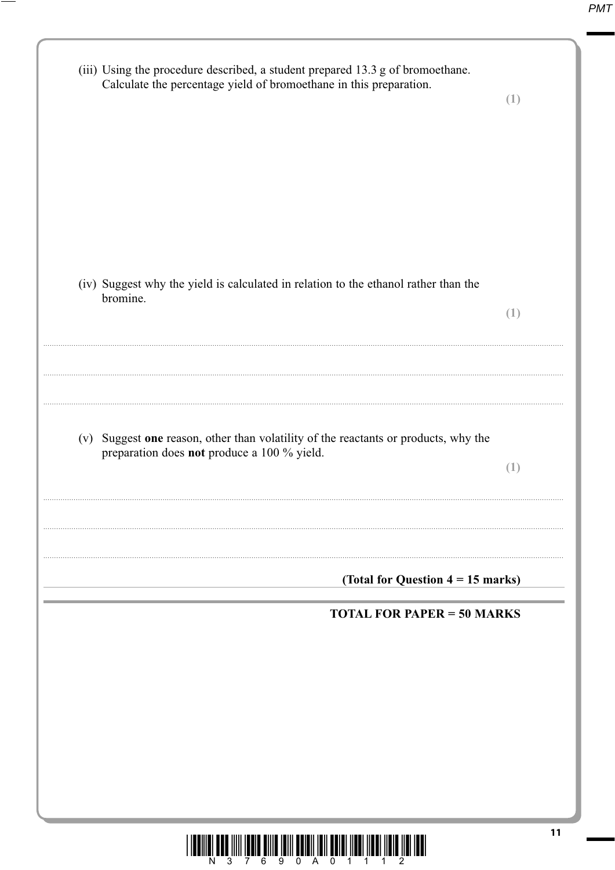| (iii) Using the procedure described, a student prepared 13.3 g of bromoethane.<br>Calculate the percentage yield of bromoethane in this preparation. | (1) |
|------------------------------------------------------------------------------------------------------------------------------------------------------|-----|
| (iv) Suggest why the yield is calculated in relation to the ethanol rather than the<br>bromine.                                                      | (1) |
| (v) Suggest one reason, other than volatility of the reactants or products, why the<br>preparation does not produce a 100 % yield.                   | (1) |
| (Total for Question $4 = 15$ marks)<br><b>TOTAL FOR PAPER = 50 MARKS</b>                                                                             |     |
|                                                                                                                                                      |     |
|                                                                                                                                                      | 11  |

—

1